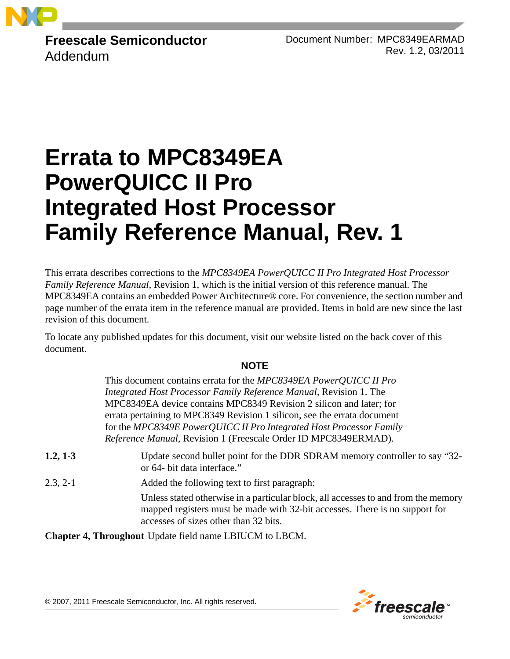

**Freescale Semiconductor** Addendum

Document Number: MPC8349EARMAD Rev. 1.2, 03/2011

# **Errata to MPC8349EA PowerQUICC II Pro Integrated Host Processor Family Reference Manual, Rev. 1**

This errata describes corrections to the *MPC8349EA PowerQUICC II Pro Integrated Host Processor Family Reference Manual*, Revision 1, which is the initial version of this reference manual. The MPC8349EA contains an embedded Power Architecture® core. For convenience, the section number and page number of the errata item in the reference manual are provided. Items in bold are new since the last revision of this document.

To locate any published updates for this document, visit our website listed on the back cover of this document.

### **NOTE**

This document contains errata for the *MPC8349EA PowerQUICC II Pro Integrated Host Processor Family Reference Manual,* Revision 1. The MPC8349EA device contains MPC8349 Revision 2 silicon and later; for errata pertaining to MPC8349 Revision 1 silicon, see the errata document for the *MPC8349E PowerQUICC II Pro Integrated Host Processor Family Reference Manual,* Revision 1 (Freescale Order ID MPC8349ERMAD).

- **1.2, 1-3** Update second bullet point for the DDR SDRAM memory controller to say "32or 64- bit data interface."
- 2.3, 2-1 Added the following text to first paragraph:

Unless stated otherwise in a particular block, all accesses to and from the memory mapped registers must be made with 32-bit accesses. There is no support for accesses of sizes other than 32 bits.

**Chapter 4, Throughout** Update field name LBIUCM to LBCM.

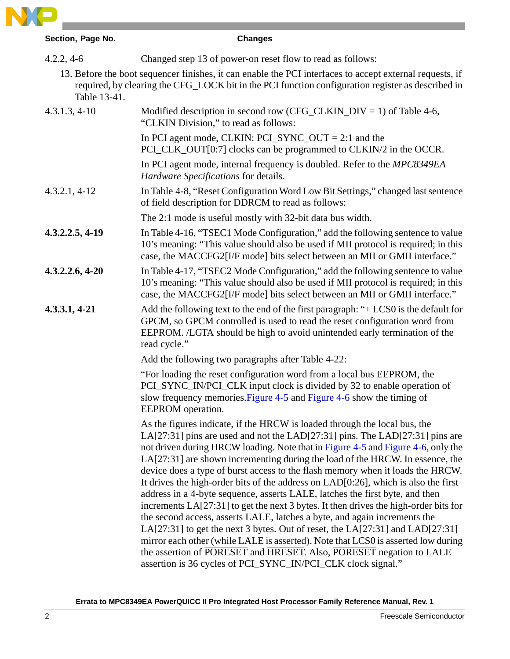

| Section, Page No. | <b>Changes</b>                                                                                                                                                                                                                                                                                                                                                                                                                                                                                                                                                                                                                                                                                                                                                                                                                                                                                                                                                                                                                                                                       |  |
|-------------------|--------------------------------------------------------------------------------------------------------------------------------------------------------------------------------------------------------------------------------------------------------------------------------------------------------------------------------------------------------------------------------------------------------------------------------------------------------------------------------------------------------------------------------------------------------------------------------------------------------------------------------------------------------------------------------------------------------------------------------------------------------------------------------------------------------------------------------------------------------------------------------------------------------------------------------------------------------------------------------------------------------------------------------------------------------------------------------------|--|
| $4.2.2, 4-6$      | Changed step 13 of power-on reset flow to read as follows:                                                                                                                                                                                                                                                                                                                                                                                                                                                                                                                                                                                                                                                                                                                                                                                                                                                                                                                                                                                                                           |  |
| Table 13-41.      | 13. Before the boot sequencer finishes, it can enable the PCI interfaces to accept external requests, if<br>required, by clearing the CFG_LOCK bit in the PCI function configuration register as described in                                                                                                                                                                                                                                                                                                                                                                                                                                                                                                                                                                                                                                                                                                                                                                                                                                                                        |  |
| $4.3.1.3, 4-10$   | Modified description in second row (CFG_CLKIN_DIV = 1) of Table 4-6,<br>"CLKIN Division," to read as follows:                                                                                                                                                                                                                                                                                                                                                                                                                                                                                                                                                                                                                                                                                                                                                                                                                                                                                                                                                                        |  |
|                   | In PCI agent mode, CLKIN: PCI_SYNC_OUT = 2:1 and the<br>PCI_CLK_OUT[0:7] clocks can be programmed to CLKIN/2 in the OCCR.                                                                                                                                                                                                                                                                                                                                                                                                                                                                                                                                                                                                                                                                                                                                                                                                                                                                                                                                                            |  |
|                   | In PCI agent mode, internal frequency is doubled. Refer to the MPC8349EA<br>Hardware Specifications for details.                                                                                                                                                                                                                                                                                                                                                                                                                                                                                                                                                                                                                                                                                                                                                                                                                                                                                                                                                                     |  |
| $4.3.2.1, 4-12$   | In Table 4-8, "Reset Configuration Word Low Bit Settings," changed last sentence<br>of field description for DDRCM to read as follows:                                                                                                                                                                                                                                                                                                                                                                                                                                                                                                                                                                                                                                                                                                                                                                                                                                                                                                                                               |  |
|                   | The 2:1 mode is useful mostly with 32-bit data bus width.                                                                                                                                                                                                                                                                                                                                                                                                                                                                                                                                                                                                                                                                                                                                                                                                                                                                                                                                                                                                                            |  |
| 4.3.2.2.5, 4-19   | In Table 4-16, "TSEC1 Mode Configuration," add the following sentence to value<br>10's meaning: "This value should also be used if MII protocol is required; in this<br>case, the MACCFG2[I/F mode] bits select between an MII or GMII interface."                                                                                                                                                                                                                                                                                                                                                                                                                                                                                                                                                                                                                                                                                                                                                                                                                                   |  |
| $4.3.2.2.6, 4-20$ | In Table 4-17, "TSEC2 Mode Configuration," add the following sentence to value<br>10's meaning: "This value should also be used if MII protocol is required; in this<br>case, the MACCFG2[I/F mode] bits select between an MII or GMII interface."                                                                                                                                                                                                                                                                                                                                                                                                                                                                                                                                                                                                                                                                                                                                                                                                                                   |  |
| $4.3.3.1, 4-21$   | Add the following text to the end of the first paragraph: " $+$ LCS0 is the default for<br>GPCM, so GPCM controlled is used to read the reset configuration word from<br>EEPROM. /LGTA should be high to avoid unintended early termination of the<br>read cycle."                                                                                                                                                                                                                                                                                                                                                                                                                                                                                                                                                                                                                                                                                                                                                                                                                   |  |
|                   | Add the following two paragraphs after Table 4-22:                                                                                                                                                                                                                                                                                                                                                                                                                                                                                                                                                                                                                                                                                                                                                                                                                                                                                                                                                                                                                                   |  |
|                   | "For loading the reset configuration word from a local bus EEPROM, the<br>PCI_SYNC_IN/PCI_CLK input clock is divided by 32 to enable operation of<br>slow frequency memories. Figure 4-5 and Figure 4-6 show the timing of<br>EEPROM operation.                                                                                                                                                                                                                                                                                                                                                                                                                                                                                                                                                                                                                                                                                                                                                                                                                                      |  |
|                   | As the figures indicate, if the HRCW is loaded through the local bus, the<br>LA[27:31] pins are used and not the LAD[27:31] pins. The LAD[27:31] pins are<br>not driven during HRCW loading. Note that in Figure 4-5 and Figure 4-6, only the<br>LA[27:31] are shown incrementing during the load of the HRCW. In essence, the<br>device does a type of burst access to the flash memory when it loads the HRCW.<br>It drives the high-order bits of the address on $LAD[0:26]$ , which is also the first<br>address in a 4-byte sequence, asserts LALE, latches the first byte, and then<br>increments LA[27:31] to get the next 3 bytes. It then drives the high-order bits for<br>the second access, asserts LALE, latches a byte, and again increments the<br>LA $[27:31]$ to get the next 3 bytes. Out of reset, the LA $[27:31]$ and LAD $[27:31]$<br>mirror each other (while LALE is asserted). Note that LCS0 is asserted low during<br>the assertion of PORESET and HRESET. Also, PORESET negation to LALE<br>assertion is 36 cycles of PCI_SYNC_IN/PCI_CLK clock signal." |  |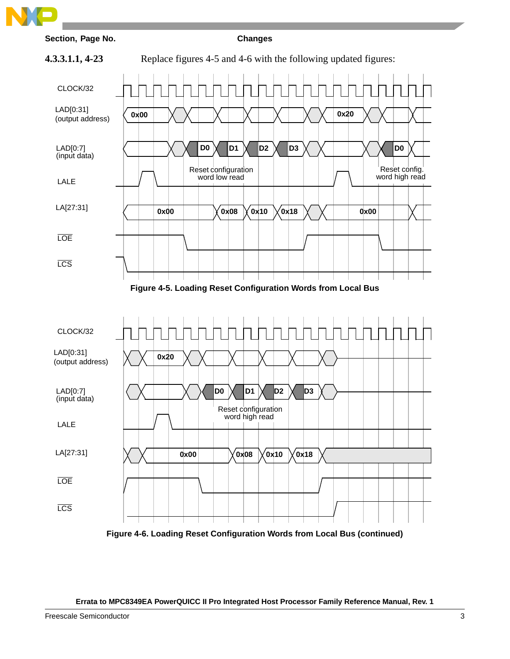





**Figure 4-6. Loading Reset Configuration Words from Local Bus (continued)**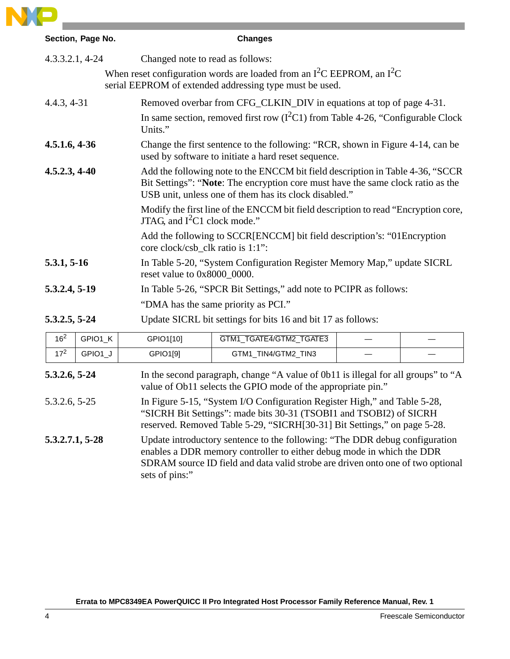

| Section, Page No.          |                                                                                                        | <b>Changes</b>                                                                                                                                                                                                                          |  |  |  |
|----------------------------|--------------------------------------------------------------------------------------------------------|-----------------------------------------------------------------------------------------------------------------------------------------------------------------------------------------------------------------------------------------|--|--|--|
| $4.3.3.2.1, 4-24$          | Changed note to read as follows:                                                                       |                                                                                                                                                                                                                                         |  |  |  |
|                            |                                                                                                        | When reset configuration words are loaded from an $I^2C$ EEPROM, an $I^2C$<br>serial EEPROM of extended addressing type must be used.                                                                                                   |  |  |  |
| $4.4.3, 4-31$              |                                                                                                        | Removed overbar from CFG_CLKIN_DIV in equations at top of page 4-31.                                                                                                                                                                    |  |  |  |
|                            | Units."                                                                                                | In same section, removed first row $(I^2C1)$ from Table 4-26, "Configurable Clock"                                                                                                                                                      |  |  |  |
| $4.5.1.6, 4-36$            |                                                                                                        | Change the first sentence to the following: "RCR, shown in Figure 4-14, can be<br>used by software to initiate a hard reset sequence.                                                                                                   |  |  |  |
| $4.5.2.3, 4-40$            |                                                                                                        | Add the following note to the ENCCM bit field description in Table 4-36, "SCCR<br>Bit Settings": "Note: The encryption core must have the same clock ratio as the<br>USB unit, unless one of them has its clock disabled."              |  |  |  |
|                            | JTAG, and $I^2C1$ clock mode."                                                                         | Modify the first line of the ENCCM bit field description to read "Encryption core,                                                                                                                                                      |  |  |  |
|                            |                                                                                                        | Add the following to SCCR[ENCCM] bit field description's: "01 Encryption<br>core clock/csb_clk ratio is 1:1":                                                                                                                           |  |  |  |
| 5.3.1, 5-16                | In Table 5-20, "System Configuration Register Memory Map," update SICRL<br>reset value to 0x8000_0000. |                                                                                                                                                                                                                                         |  |  |  |
| 5.3.2.4, 5-19              | In Table 5-26, "SPCR Bit Settings," add note to PCIPR as follows:                                      |                                                                                                                                                                                                                                         |  |  |  |
|                            |                                                                                                        | "DMA has the same priority as PCI."                                                                                                                                                                                                     |  |  |  |
| 5.3.2.5, 5-24              |                                                                                                        | Update SICRL bit settings for bits 16 and bit 17 as follows:                                                                                                                                                                            |  |  |  |
| 16 <sup>2</sup><br>GPIO1_K | GPIO1[10]                                                                                              | GTM1_TGATE4/GTM2_TGATE3                                                                                                                                                                                                                 |  |  |  |
| 17 <sup>2</sup><br>GPIO1_J | GPIO1[9]                                                                                               | GTM1_TIN4/GTM2_TIN3                                                                                                                                                                                                                     |  |  |  |
| 5.3.2.6, 5-24              |                                                                                                        | In the second paragraph, change "A value of 0b11 is illegal for all groups" to "A<br>value of Ob11 selects the GPIO mode of the appropriate pin."                                                                                       |  |  |  |
| 5.3.2.6, 5-25              |                                                                                                        | In Figure 5-15, "System I/O Configuration Register High," and Table 5-28,<br>"SICRH Bit Settings": made bits 30-31 (TSOBI1 and TSOBI2) of SICRH<br>reserved. Removed Table 5-29, "SICRH[30-31] Bit Settings," on page 5-28.             |  |  |  |
| 5.3.2.7.1, 5-28            | sets of pins:"                                                                                         | Update introductory sentence to the following: "The DDR debug configuration<br>enables a DDR memory controller to either debug mode in which the DDR<br>SDRAM source ID field and data valid strobe are driven onto one of two optional |  |  |  |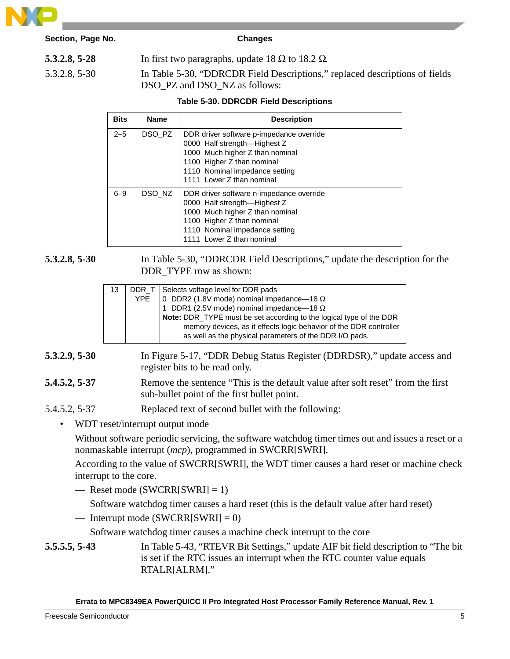

| 5.3.2.8, 5-28 | In first two paragraphs, update 18 $\Omega$ to 18.2 $\Omega$ .                                               |
|---------------|--------------------------------------------------------------------------------------------------------------|
| 5.3.2.8, 5-30 | In Table 5-30, "DDRCDR Field Descriptions," replaced descriptions of fields<br>DSO PZ and DSO NZ as follows: |

#### **Table 5-30. DDRCDR Field Descriptions**

| <b>Bits</b> | <b>Name</b> | <b>Description</b>                                                                                                                                                                                       |
|-------------|-------------|----------------------------------------------------------------------------------------------------------------------------------------------------------------------------------------------------------|
| $2 - 5$     | DSO_PZ      | DDR driver software p-impedance override<br>0000 Half strength-Highest Z<br>1000 Much higher Z than nominal<br>1100 Higher Z than nominal<br>1110 Nominal impedance setting<br>1111 Lower Z than nominal |
| $6 - 9$     | DSO NZ      | DDR driver software n-impedance override<br>0000 Half strength-Highest Z<br>1000 Much higher Z than nominal<br>1100 Higher Z than nominal<br>1110 Nominal impedance setting<br>1111 Lower Z than nominal |

**5.3.2.8, 5-30** In Table 5-30, "DDRCDR Field Descriptions," update the description for the DDR\_TYPE row as shown:

| 13 | YPE | DDR_T Selects voltage level for DDR pads<br>0 DDR2 (1.8V mode) nominal impedance-18 $\Omega$<br>1 DDR1 (2.5V mode) nominal impedance-18 $\Omega$<br>Note: DDR_TYPE must be set according to the logical type of the DDR<br>memory devices, as it effects logic behavior of the DDR controller<br>as well as the physical parameters of the DDR I/O pads. |
|----|-----|----------------------------------------------------------------------------------------------------------------------------------------------------------------------------------------------------------------------------------------------------------------------------------------------------------------------------------------------------------|
|    |     |                                                                                                                                                                                                                                                                                                                                                          |

- **5.3.2.9, 5-30** In Figure 5-17, "DDR Debug Status Register (DDRDSR)," update access and register bits to be read only.
- **5.4.5.2, 5-37** Remove the sentence "This is the default value after soft reset" from the first sub-bullet point of the first bullet point.
- 5.4.5.2, 5-37 Replaced text of second bullet with the following:
	- WDT reset/interrupt output mode

Without software periodic servicing, the software watchdog timer times out and issues a reset or a nonmaskable interrupt (*mcp*), programmed in SWCRR[SWRI].

According to the value of SWCRR[SWRI], the WDT timer causes a hard reset or machine check interrupt to the core.

— Reset mode (SWCRR[SWRI] = 1)

Software watchdog timer causes a hard reset (this is the default value after hard reset)

— Interrupt mode  $(SWCRR[SWRI] = 0)$ 

Software watchdog timer causes a machine check interrupt to the core

**5.5.5.5, 5-43** In Table 5-43, "RTEVR Bit Settings," update AIF bit field description to "The bit is set if the RTC issues an interrupt when the RTC counter value equals RTALR[ALRM]."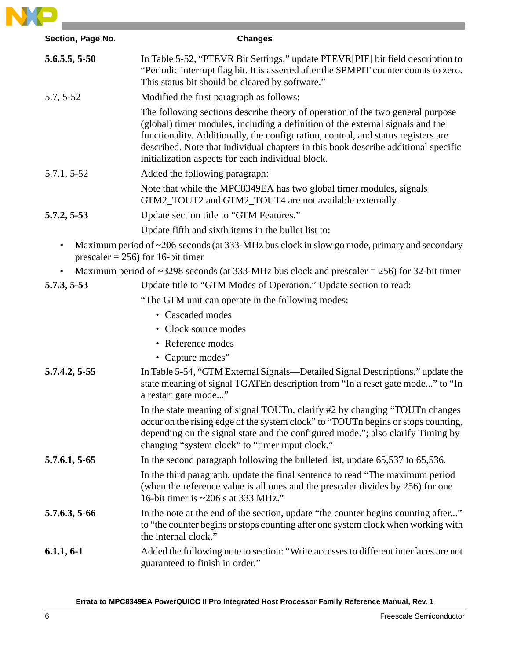

| Section, Page No. | <b>Changes</b>                                                                                                                                                                                                                                                                                                                                                                                   |
|-------------------|--------------------------------------------------------------------------------------------------------------------------------------------------------------------------------------------------------------------------------------------------------------------------------------------------------------------------------------------------------------------------------------------------|
| 5.6.5.5, 5.50     | In Table 5-52, "PTEVR Bit Settings," update PTEVR[PIF] bit field description to<br>"Periodic interrupt flag bit. It is asserted after the SPMPIT counter counts to zero.<br>This status bit should be cleared by software."                                                                                                                                                                      |
| $5.7, 5-52$       | Modified the first paragraph as follows:                                                                                                                                                                                                                                                                                                                                                         |
|                   | The following sections describe theory of operation of the two general purpose<br>(global) timer modules, including a definition of the external signals and the<br>functionality. Additionally, the configuration, control, and status registers are<br>described. Note that individual chapters in this book describe additional specific<br>initialization aspects for each individual block. |
| 5.7.1, 5-52       | Added the following paragraph:                                                                                                                                                                                                                                                                                                                                                                   |
|                   | Note that while the MPC8349EA has two global timer modules, signals<br>GTM2_TOUT2 and GTM2_TOUT4 are not available externally.                                                                                                                                                                                                                                                                   |
| 5.7.2, 5.53       | Update section title to "GTM Features."                                                                                                                                                                                                                                                                                                                                                          |
|                   | Update fifth and sixth items in the bullet list to:                                                                                                                                                                                                                                                                                                                                              |
|                   | Maximum period of ~206 seconds (at 333-MHz bus clock in slow go mode, primary and secondary<br>prescaler = $256$ ) for 16-bit timer                                                                                                                                                                                                                                                              |
|                   | Maximum period of $\sim$ 3298 seconds (at 333-MHz bus clock and prescaler = 256) for 32-bit timer                                                                                                                                                                                                                                                                                                |
| 5.7.3, 5.53       | Update title to "GTM Modes of Operation." Update section to read:                                                                                                                                                                                                                                                                                                                                |
|                   | "The GTM unit can operate in the following modes:                                                                                                                                                                                                                                                                                                                                                |
|                   | • Cascaded modes                                                                                                                                                                                                                                                                                                                                                                                 |
|                   | • Clock source modes                                                                                                                                                                                                                                                                                                                                                                             |
|                   | • Reference modes                                                                                                                                                                                                                                                                                                                                                                                |
|                   | • Capture modes"                                                                                                                                                                                                                                                                                                                                                                                 |
| 5.7.4.2, 5-55     | In Table 5-54, "GTM External Signals—Detailed Signal Descriptions," update the<br>state meaning of signal TGATEn description from "In a reset gate mode" to "In<br>a restart gate mode"                                                                                                                                                                                                          |
|                   | In the state meaning of signal TOUTn, clarify #2 by changing "TOUTn changes"<br>occur on the rising edge of the system clock" to "TOUT n begins or stops counting,<br>depending on the signal state and the configured mode."; also clarify Timing by<br>changing "system clock" to "timer input clock."                                                                                         |
| 5.7.6.1, 5-65     | In the second paragraph following the bulleted list, update 65,537 to 65,536.                                                                                                                                                                                                                                                                                                                    |
|                   | In the third paragraph, update the final sentence to read "The maximum period"<br>(when the reference value is all ones and the prescaler divides by 256) for one<br>16-bit timer is $\sim$ 206 s at 333 MHz."                                                                                                                                                                                   |
| 5.7.6.3, 5-66     | In the note at the end of the section, update "the counter begins counting after"<br>to "the counter begins or stops counting after one system clock when working with<br>the internal clock."                                                                                                                                                                                                   |
| $6.1.1, 6-1$      | Added the following note to section: "Write accesses to different interfaces are not<br>guaranteed to finish in order."                                                                                                                                                                                                                                                                          |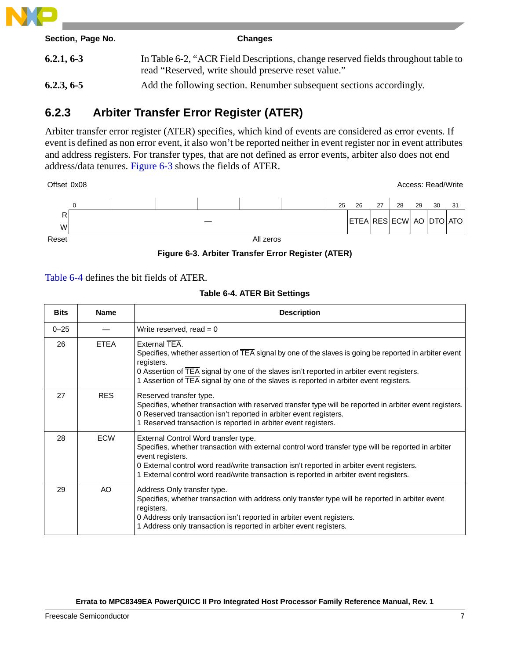

| Section, Page No. | <b>Changes</b>                                                                                                                           |
|-------------------|------------------------------------------------------------------------------------------------------------------------------------------|
| 6.2.1, 6.3        | In Table 6-2, "ACR Field Descriptions, change reserved fields throughout table to<br>read "Reserved, write should preserve reset value." |
| 6.2.3, 6.5        | Add the following section. Renumber subsequent sections accordingly.                                                                     |

# **6.2.3 Arbiter Transfer Error Register (ATER)**

Arbiter transfer error register (ATER) specifies, which kind of events are considered as error events. If event is defined as non error event, it also won't be reported neither in event register nor in event attributes and address registers. For transfer types, that are not defined as error events, arbiter also does not end address/data tenures. Figure 6-3 shows the fields of ATER.





Table 6-4 defines the bit fields of ATER.

**Table 6-4. ATER Bit Settings**

| <b>Bits</b> | <b>Name</b> | <b>Description</b>                                                                                                                                                                                                                                                                                                                                     |
|-------------|-------------|--------------------------------------------------------------------------------------------------------------------------------------------------------------------------------------------------------------------------------------------------------------------------------------------------------------------------------------------------------|
| $0 - 25$    |             | Write reserved, read $= 0$                                                                                                                                                                                                                                                                                                                             |
| 26          | <b>ETEA</b> | External TEA.<br>Specifies, whether assertion of TEA signal by one of the slaves is going be reported in arbiter event<br>registers.<br>0 Assertion of $\overline{TEA}$ signal by one of the slaves isn't reported in arbiter event registers.<br>1 Assertion of TEA signal by one of the slaves is reported in arbiter event registers.               |
| 27          | <b>RES</b>  | Reserved transfer type.<br>Specifies, whether transaction with reserved transfer type will be reported in arbiter event registers.<br>0 Reserved transaction isn't reported in arbiter event registers.<br>1 Reserved transaction is reported in arbiter event registers.                                                                              |
| 28          | <b>ECW</b>  | External Control Word transfer type.<br>Specifies, whether transaction with external control word transfer type will be reported in arbiter<br>event registers.<br>0 External control word read/write transaction isn't reported in arbiter event registers.<br>1 External control word read/write transaction is reported in arbiter event registers. |
| 29          | AO          | Address Only transfer type.<br>Specifies, whether transaction with address only transfer type will be reported in arbiter event<br>registers.<br>0 Address only transaction isn't reported in arbiter event registers.<br>1 Address only transaction is reported in arbiter event registers.                                                           |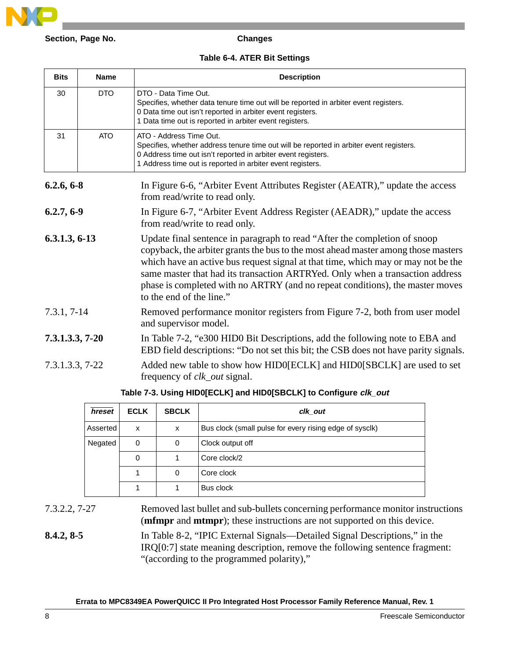

### **Table 6-4. ATER Bit Settings**

| <b>Bits</b>       | <b>Name</b> | <b>Description</b>                                                                                                                                                                                                                                                                                                                                                                                                                                |
|-------------------|-------------|---------------------------------------------------------------------------------------------------------------------------------------------------------------------------------------------------------------------------------------------------------------------------------------------------------------------------------------------------------------------------------------------------------------------------------------------------|
| 30                | <b>DTO</b>  | DTO - Data Time Out.<br>Specifies, whether data tenure time out will be reported in arbiter event registers.<br>0 Data time out isn't reported in arbiter event registers.<br>1 Data time out is reported in arbiter event registers.                                                                                                                                                                                                             |
| 31                | <b>ATO</b>  | ATO - Address Time Out.<br>Specifies, whether address tenure time out will be reported in arbiter event registers.<br>0 Address time out isn't reported in arbiter event registers.<br>1 Address time out is reported in arbiter event registers.                                                                                                                                                                                                 |
| 6.2.6, 6.8        |             | In Figure 6-6, "Arbiter Event Attributes Register (AEATR)," update the access<br>from read/write to read only.                                                                                                                                                                                                                                                                                                                                    |
| 6.2.7, 6.9        |             | In Figure 6-7, "Arbiter Event Address Register (AEADR)," update the access<br>from read/write to read only.                                                                                                                                                                                                                                                                                                                                       |
| $6.3.1.3, 6-13$   |             | Update final sentence in paragraph to read "After the completion of snoop<br>copyback, the arbiter grants the bus to the most ahead master among those masters<br>which have an active bus request signal at that time, which may or may not be the<br>same master that had its transaction ARTRYed. Only when a transaction address<br>phase is completed with no ARTRY (and no repeat conditions), the master moves<br>to the end of the line." |
| $7.3.1, 7-14$     |             | Removed performance monitor registers from Figure 7-2, both from user model<br>and supervisor model.                                                                                                                                                                                                                                                                                                                                              |
| $7.3.1.3.3, 7-20$ |             | In Table 7-2, "e300 HIDO Bit Descriptions, add the following note to EBA and<br>EBD field descriptions: "Do not set this bit; the CSB does not have parity signals.                                                                                                                                                                                                                                                                               |
| 7.3.1.3.3, 7-22   |             | Added new table to show how HID0[ECLK] and HID0[SBCLK] are used to set<br>frequency of <i>clk_out</i> signal.                                                                                                                                                                                                                                                                                                                                     |

#### **Table 7-3. Using HID0[ECLK] and HID0[SBCLK] to Configure clk\_out**

| hreset   | <b>ECLK</b> | <b>SBCLK</b> | clk_out                                                 |
|----------|-------------|--------------|---------------------------------------------------------|
| Asserted | x           | X            | Bus clock (small pulse for every rising edge of sysclk) |
| Negated  | 0           | 0            | Clock output off                                        |
|          |             |              | Core clock/2                                            |
|          |             | 0            | Core clock                                              |
|          |             |              | Bus clock                                               |

7.3.2.2, 7-27 Removed last bullet and sub-bullets concerning performance monitor instructions (**mfmpr** and **mtmpr**); these instructions are not supported on this device.

**8.4.2, 8-5** In Table 8-2, "IPIC External Signals—Detailed Signal Descriptions," in the IRQ[0:7] state meaning description, remove the following sentence fragment: "(according to the programmed polarity),"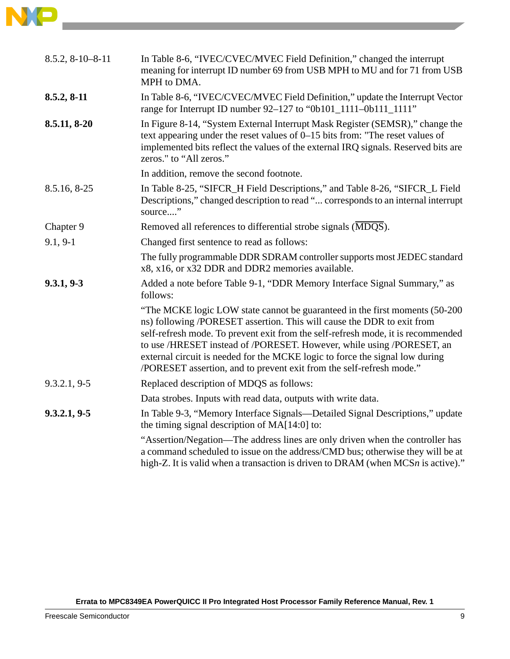

| $8.5.2, 8-10-8-11$ | In Table 8-6, "IVEC/CVEC/MVEC Field Definition," changed the interrupt<br>meaning for interrupt ID number 69 from USB MPH to MU and for 71 from USB<br>MPH to DMA.                                                                                                                                                                                                                                                                                                         |
|--------------------|----------------------------------------------------------------------------------------------------------------------------------------------------------------------------------------------------------------------------------------------------------------------------------------------------------------------------------------------------------------------------------------------------------------------------------------------------------------------------|
| 8.5.2, 8-11        | In Table 8-6, "IVEC/CVEC/MVEC Field Definition," update the Interrupt Vector<br>range for Interrupt ID number 92-127 to "0b101_1111-0b111_1111"                                                                                                                                                                                                                                                                                                                            |
| 8.5.11, 8-20       | In Figure 8-14, "System External Interrupt Mask Register (SEMSR)," change the<br>text appearing under the reset values of $0-15$ bits from: "The reset values of<br>implemented bits reflect the values of the external IRQ signals. Reserved bits are<br>zeros." to "All zeros."                                                                                                                                                                                          |
|                    | In addition, remove the second footnote.                                                                                                                                                                                                                                                                                                                                                                                                                                   |
| 8.5.16, 8-25       | In Table 8-25, "SIFCR_H Field Descriptions," and Table 8-26, "SIFCR_L Field<br>Descriptions," changed description to read " corresponds to an internal interrupt<br>source"                                                                                                                                                                                                                                                                                                |
| Chapter 9          | Removed all references to differential strobe signals (MDQS).                                                                                                                                                                                                                                                                                                                                                                                                              |
| $9.1, 9-1$         | Changed first sentence to read as follows:                                                                                                                                                                                                                                                                                                                                                                                                                                 |
|                    | The fully programmable DDR SDRAM controller supports most JEDEC standard<br>x8, x16, or x32 DDR and DDR2 memories available.                                                                                                                                                                                                                                                                                                                                               |
| 9.3.1, 9.3         | Added a note before Table 9-1, "DDR Memory Interface Signal Summary," as<br>follows:                                                                                                                                                                                                                                                                                                                                                                                       |
|                    | "The MCKE logic LOW state cannot be guaranteed in the first moments (50-200<br>ns) following /PORESET assertion. This will cause the DDR to exit from<br>self-refresh mode. To prevent exit from the self-refresh mode, it is recommended<br>to use /HRESET instead of /PORESET. However, while using /PORESET, an<br>external circuit is needed for the MCKE logic to force the signal low during<br>/PORESET assertion, and to prevent exit from the self-refresh mode." |
| 9.3.2.1, 9.5       | Replaced description of MDQS as follows:                                                                                                                                                                                                                                                                                                                                                                                                                                   |
|                    | Data strobes. Inputs with read data, outputs with write data.                                                                                                                                                                                                                                                                                                                                                                                                              |
| 9.3.2.1, 9.5       | In Table 9-3, "Memory Interface Signals-Detailed Signal Descriptions," update<br>the timing signal description of MA[14:0] to:                                                                                                                                                                                                                                                                                                                                             |
|                    | "Assertion/Negation—The address lines are only driven when the controller has<br>a command scheduled to issue on the address/CMD bus; otherwise they will be at<br>high-Z. It is valid when a transaction is driven to DRAM (when MCSn is active)."                                                                                                                                                                                                                        |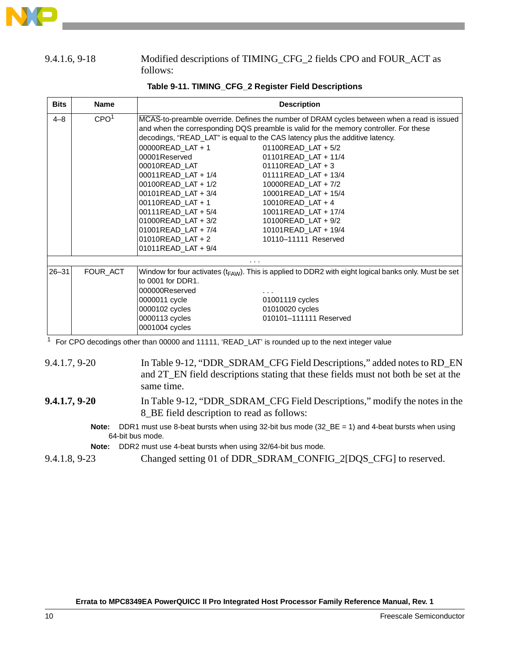

#### 9.4.1.6, 9-18 Modified descriptions of TIMING\_CFG\_2 fields CPO and FOUR\_ACT as follows:

| <b>Bits</b> | <b>Name</b>      | <b>Description</b>                                                                                                                                                                                                                                                                                                                                                                                                                                                                                                                                                                                                                     |
|-------------|------------------|----------------------------------------------------------------------------------------------------------------------------------------------------------------------------------------------------------------------------------------------------------------------------------------------------------------------------------------------------------------------------------------------------------------------------------------------------------------------------------------------------------------------------------------------------------------------------------------------------------------------------------------|
| $4 - 8$     | CPO <sup>1</sup> | MCAS-to-preamble override. Defines the number of DRAM cycles between when a read is issued<br>and when the corresponding DQS preamble is valid for the memory controller. For these<br>decodings, "READ_LAT" is equal to the CAS latency plus the additive latency.<br>00000READ_LAT + 1<br>01100READ LAT + 5/2<br>00001Reserved<br>01101READ LAT + 11/4<br>00010READ LAT<br>$01110$ READ LAT + 3<br>00011READ_LAT + 1/4<br>01111READ_LAT + 13/4<br>00100READ_LAT + 1/2<br>10000READ LAT + 7/2<br>00101READ_LAT + 3/4<br>10001READ_LAT + 15/4<br>00110READ_LAT + 1<br>10010READ_LAT + 4<br>00111READ_LAT + 5/4<br>10011READ LAT + 17/4 |
|             |                  | $01000$ READ LAT + 3/2<br>10100READ LAT + 9/2<br>01001READ LAT + $7/4$<br>10101READ_LAT + 19/4<br>$01010$ READ LAT + 2<br>10110-11111 Reserved<br>01011READ LAT + $9/4$                                                                                                                                                                                                                                                                                                                                                                                                                                                                |
|             |                  | $\cdots$                                                                                                                                                                                                                                                                                                                                                                                                                                                                                                                                                                                                                               |
| $26 - 31$   | FOUR_ACT         | Window for four activates $(t_{FAW})$ . This is applied to DDR2 with eight logical banks only. Must be set<br>to 0001 for DDR1.<br>000000Reserved<br>.<br>0000011 cycle<br>01001119 cycles<br>01010020 cycles<br>0000102 cycles<br>0000113 cycles<br>010101-111111 Reserved<br>0001004 cycles                                                                                                                                                                                                                                                                                                                                          |

#### **Table 9-11. TIMING\_CFG\_2 Register Field Descriptions**

<sup>1</sup> For CPO decodings other than 00000 and 11111, 'READ\_LAT' is rounded up to the next integer value

9.4.1.7, 9-20 In Table 9-12, "DDR\_SDRAM\_CFG Field Descriptions," added notes to RD\_EN and 2T\_EN field descriptions stating that these fields must not both be set at the same time.

## **9.4.1.7, 9-20** In Table 9-12, "DDR\_SDRAM\_CFG Field Descriptions," modify the notes in the 8\_BE field description to read as follows:

**Note:** DDR1 must use 8-beat bursts when using 32-bit bus mode (32\_BE = 1) and 4-beat bursts when using 64-bit bus mode.

**Note:** DDR2 must use 4-beat bursts when using 32/64-bit bus mode.

9.4.1.8, 9-23 Changed setting 01 of DDR\_SDRAM\_CONFIG\_2[DQS\_CFG] to reserved.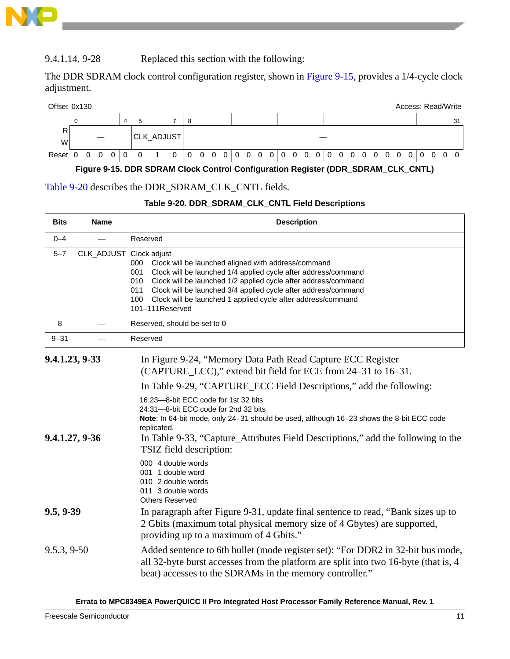

#### 9.4.1.14, 9-28 Replaced this section with the following:

The DDR SDRAM clock control configuration register, shown in Figure 9-15, provides a 1/4-cycle clock adjustment.



**Figure 9-15. DDR SDRAM Clock Control Configuration Register (DDR\_SDRAM\_CLK\_CNTL)**

#### Table 9-20 describes the DDR\_SDRAM\_CLK\_CNTL fields.

#### **Table 9-20. DDR\_SDRAM\_CLK\_CNTL Field Descriptions**

| <b>Bits</b>                      | <b>Name</b>             | <b>Description</b>                                                                                                                                                                                                                                                                                                                                                                                                                                                                                                                                                                                                             |  |  |  |  |  |  |  |  |  |
|----------------------------------|-------------------------|--------------------------------------------------------------------------------------------------------------------------------------------------------------------------------------------------------------------------------------------------------------------------------------------------------------------------------------------------------------------------------------------------------------------------------------------------------------------------------------------------------------------------------------------------------------------------------------------------------------------------------|--|--|--|--|--|--|--|--|--|
| $0 - 4$                          |                         | Reserved                                                                                                                                                                                                                                                                                                                                                                                                                                                                                                                                                                                                                       |  |  |  |  |  |  |  |  |  |
| $5 - 7$                          | CLK_ADJUST Clock adjust | 000 Clock will be launched aligned with address/command<br>Clock will be launched 1/4 applied cycle after address/command<br>001<br>Clock will be launched 1/2 applied cycle after address/command<br>010<br>Clock will be launched 3/4 applied cycle after address/command<br>011<br>100<br>Clock will be launched 1 applied cycle after address/command<br>101-111Reserved                                                                                                                                                                                                                                                   |  |  |  |  |  |  |  |  |  |
| 8                                |                         | Reserved, should be set to 0                                                                                                                                                                                                                                                                                                                                                                                                                                                                                                                                                                                                   |  |  |  |  |  |  |  |  |  |
| $9 - 31$                         |                         | Reserved                                                                                                                                                                                                                                                                                                                                                                                                                                                                                                                                                                                                                       |  |  |  |  |  |  |  |  |  |
| 9.4.1.23, 9-33<br>9.4.1.27, 9-36 |                         | In Figure 9-24, "Memory Data Path Read Capture ECC Register<br>(CAPTURE_ECC)," extend bit field for ECE from 24–31 to 16–31.<br>In Table 9-29, "CAPTURE_ECC Field Descriptions," add the following:<br>16:23-8-bit ECC code for 1st 32 bits<br>24:31-8-bit ECC code for 2nd 32 bits<br>Note: In 64-bit mode, only 24-31 should be used, although 16-23 shows the 8-bit ECC code<br>replicated.<br>In Table 9-33, "Capture_Attributes Field Descriptions," add the following to the<br>TSIZ field description:<br>000 4 double words<br>001 1 double word<br>010 2 double words<br>011 3 double words<br><b>Others Reserved</b> |  |  |  |  |  |  |  |  |  |
| 9.5, 9.39                        |                         | In paragraph after Figure 9-31, update final sentence to read, "Bank sizes up to<br>2 Gbits (maximum total physical memory size of 4 Gbytes) are supported,<br>providing up to a maximum of 4 Gbits."                                                                                                                                                                                                                                                                                                                                                                                                                          |  |  |  |  |  |  |  |  |  |
| 9.5.3, 9.50                      |                         | Added sentence to 6th bullet (mode register set): "For DDR2 in 32-bit bus mode,<br>all 32-byte burst accesses from the platform are split into two 16-byte (that is, 4<br>beat) accesses to the SDRAMs in the memory controller."                                                                                                                                                                                                                                                                                                                                                                                              |  |  |  |  |  |  |  |  |  |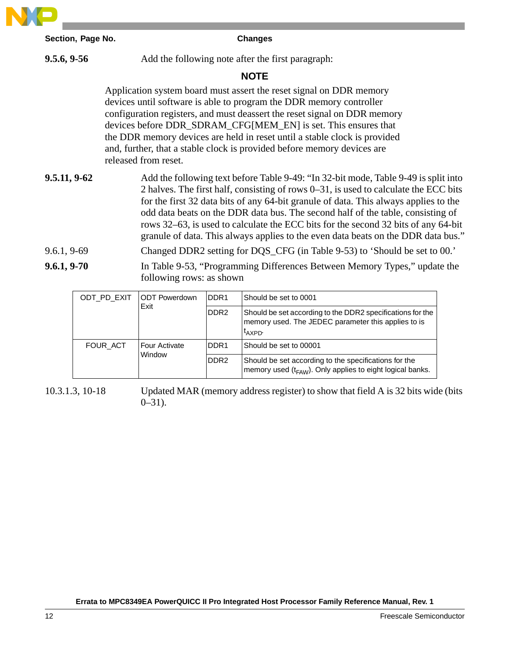

**9.5.6, 9-56** Add the following note after the first paragraph:

### **NOTE**

Application system board must assert the reset signal on DDR memory devices until software is able to program the DDR memory controller configuration registers, and must deassert the reset signal on DDR memory devices before DDR\_SDRAM\_CFG[MEM\_EN] is set. This ensures that the DDR memory devices are held in reset until a stable clock is provided and, further, that a stable clock is provided before memory devices are released from reset.

# **9.5.11, 9-62** Add the following text before Table 9-49: "In 32-bit mode, Table 9-49 is split into 2 halves. The first half, consisting of rows 0–31, is used to calculate the ECC bits for the first 32 data bits of any 64-bit granule of data. This always applies to the odd data beats on the DDR data bus. The second half of the table, consisting of rows 32–63, is used to calculate the ECC bits for the second 32 bits of any 64-bit granule of data. This always applies to the even data beats on the DDR data bus."

9.6.1, 9-69 Changed DDR2 setting for DQS\_CFG (in Table 9-53) to 'Should be set to 00.'

**9.6.1, 9-70** In Table 9-53, "Programming Differences Between Memory Types," update the following rows: as shown

| ODT PD EXIT | <b>IODT Powerdown</b> | DDR <sub>1</sub> | Should be set to 0001                                                                                                           |
|-------------|-----------------------|------------------|---------------------------------------------------------------------------------------------------------------------------------|
|             | Exit                  | DDR <sub>2</sub> | Should be set according to the DDR2 specifications for the<br>memory used. The JEDEC parameter this applies to is<br>$t_{AYPD}$ |
| FOUR ACT    | Four Activate         | IDDR1            | Should be set to 00001                                                                                                          |
|             | Window                | DDR <sub>2</sub> | Should be set according to the specifications for the<br>memory used $(t_{FAW})$ . Only applies to eight logical banks.         |

10.3.1.3, 10-18 Updated MAR (memory address register) to show that field A is 32 bits wide (bits  $0 - 31$ ).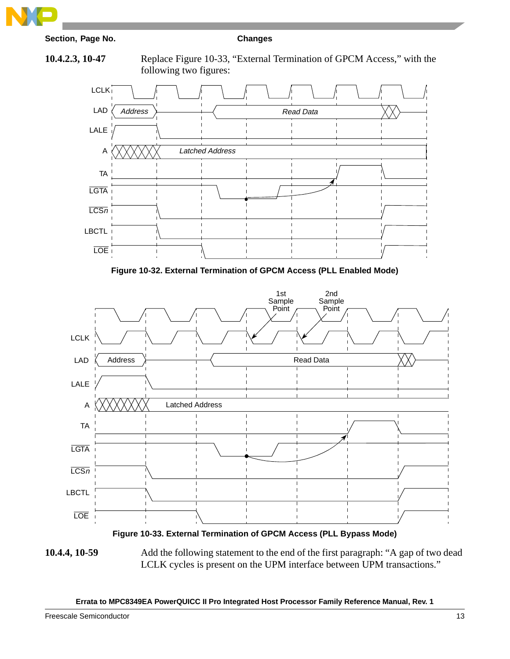









**Figure 10-33. External Termination of GPCM Access (PLL Bypass Mode)**

**10.4.4, 10-59** Add the following statement to the end of the first paragraph: "A gap of two dead LCLK cycles is present on the UPM interface between UPM transactions."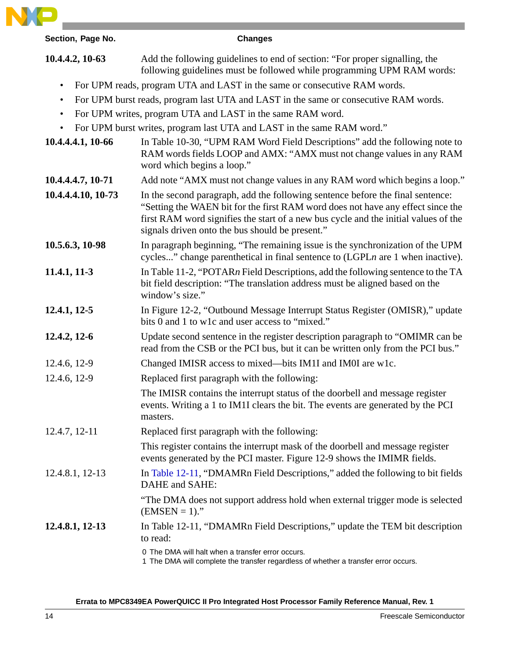

| Section, Page No.                                                           | <b>Changes</b>                                                                                                                                                                                                                                                                                              |  |  |  |  |  |  |  |  |
|-----------------------------------------------------------------------------|-------------------------------------------------------------------------------------------------------------------------------------------------------------------------------------------------------------------------------------------------------------------------------------------------------------|--|--|--|--|--|--|--|--|
| 10.4.4.2, 10-63                                                             | Add the following guidelines to end of section: "For proper signalling, the<br>following guidelines must be followed while programming UPM RAM words:                                                                                                                                                       |  |  |  |  |  |  |  |  |
| $\bullet$                                                                   | For UPM reads, program UTA and LAST in the same or consecutive RAM words.                                                                                                                                                                                                                                   |  |  |  |  |  |  |  |  |
| ٠                                                                           | For UPM burst reads, program last UTA and LAST in the same or consecutive RAM words.                                                                                                                                                                                                                        |  |  |  |  |  |  |  |  |
| For UPM writes, program UTA and LAST in the same RAM word.<br>$\bullet$     |                                                                                                                                                                                                                                                                                                             |  |  |  |  |  |  |  |  |
| For UPM burst writes, program last UTA and LAST in the same RAM word."<br>٠ |                                                                                                                                                                                                                                                                                                             |  |  |  |  |  |  |  |  |
| 10.4.4.4.1, 10-66                                                           | In Table 10-30, "UPM RAM Word Field Descriptions" add the following note to<br>RAM words fields LOOP and AMX: "AMX must not change values in any RAM<br>word which begins a loop."                                                                                                                          |  |  |  |  |  |  |  |  |
| 10.4.4.4.7, 10-71                                                           | Add note "AMX must not change values in any RAM word which begins a loop."                                                                                                                                                                                                                                  |  |  |  |  |  |  |  |  |
| 10.4.4.4.10, 10-73                                                          | In the second paragraph, add the following sentence before the final sentence:<br>"Setting the WAEN bit for the first RAM word does not have any effect since the<br>first RAM word signifies the start of a new bus cycle and the initial values of the<br>signals driven onto the bus should be present." |  |  |  |  |  |  |  |  |
| 10.5.6.3, 10-98                                                             | In paragraph beginning, "The remaining issue is the synchronization of the UPM<br>cycles" change parenthetical in final sentence to $(LGPLn$ are 1 when inactive).                                                                                                                                          |  |  |  |  |  |  |  |  |
| 11.4.1, 11-3                                                                | In Table 11-2, "POTARn Field Descriptions, add the following sentence to the TA<br>bit field description: "The translation address must be aligned based on the<br>window's size."                                                                                                                          |  |  |  |  |  |  |  |  |
| $12.4.1, 12-5$                                                              | In Figure 12-2, "Outbound Message Interrupt Status Register (OMISR)," update<br>bits 0 and 1 to w1c and user access to "mixed."                                                                                                                                                                             |  |  |  |  |  |  |  |  |
| 12.4.2, 12-6                                                                | Update second sentence in the register description paragraph to "OMIMR can be<br>read from the CSB or the PCI bus, but it can be written only from the PCI bus."                                                                                                                                            |  |  |  |  |  |  |  |  |
| 12.4.6, 12-9                                                                | Changed IMISR access to mixed—bits IM1I and IM0I are w1c.                                                                                                                                                                                                                                                   |  |  |  |  |  |  |  |  |
| 12.4.6, 12-9                                                                | Replaced first paragraph with the following:                                                                                                                                                                                                                                                                |  |  |  |  |  |  |  |  |
|                                                                             | The IMISR contains the interrupt status of the doorbell and message register<br>events. Writing a 1 to IM1I clears the bit. The events are generated by the PCI<br>masters.                                                                                                                                 |  |  |  |  |  |  |  |  |
| 12.4.7, 12-11                                                               | Replaced first paragraph with the following:                                                                                                                                                                                                                                                                |  |  |  |  |  |  |  |  |
|                                                                             | This register contains the interrupt mask of the doorbell and message register<br>events generated by the PCI master. Figure 12-9 shows the IMIMR fields.                                                                                                                                                   |  |  |  |  |  |  |  |  |
| 12.4.8.1, 12-13                                                             | In Table 12-11, "DMAMRn Field Descriptions," added the following to bit fields<br>DAHE and SAHE:                                                                                                                                                                                                            |  |  |  |  |  |  |  |  |
|                                                                             | "The DMA does not support address hold when external trigger mode is selected<br>$(EMSEN = 1)$ ."                                                                                                                                                                                                           |  |  |  |  |  |  |  |  |
| 12.4.8.1, 12-13                                                             | In Table 12-11, "DMAMRn Field Descriptions," update the TEM bit description<br>to read:                                                                                                                                                                                                                     |  |  |  |  |  |  |  |  |
|                                                                             | 0 The DMA will halt when a transfer error occurs.<br>1 The DMA will complete the transfer regardless of whether a transfer error occurs.                                                                                                                                                                    |  |  |  |  |  |  |  |  |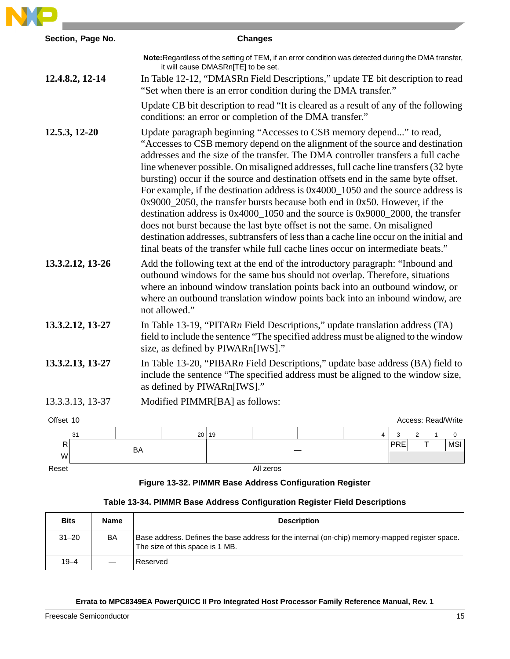|                  | <b>Changes</b>                                                                                                                                                                                                                                                                                                                                                                                                                                                                                                                                                                                                                                                                                                                                                                                                                                                                                                                                   |
|------------------|--------------------------------------------------------------------------------------------------------------------------------------------------------------------------------------------------------------------------------------------------------------------------------------------------------------------------------------------------------------------------------------------------------------------------------------------------------------------------------------------------------------------------------------------------------------------------------------------------------------------------------------------------------------------------------------------------------------------------------------------------------------------------------------------------------------------------------------------------------------------------------------------------------------------------------------------------|
|                  | Note: Regardless of the setting of TEM, if an error condition was detected during the DMA transfer,<br>it will cause DMASRn[TE] to be set.                                                                                                                                                                                                                                                                                                                                                                                                                                                                                                                                                                                                                                                                                                                                                                                                       |
| 12.4.8.2, 12-14  | In Table 12-12, "DMASRn Field Descriptions," update TE bit description to read<br>"Set when there is an error condition during the DMA transfer."                                                                                                                                                                                                                                                                                                                                                                                                                                                                                                                                                                                                                                                                                                                                                                                                |
|                  | Update CB bit description to read "It is cleared as a result of any of the following<br>conditions: an error or completion of the DMA transfer."                                                                                                                                                                                                                                                                                                                                                                                                                                                                                                                                                                                                                                                                                                                                                                                                 |
| 12.5.3, 12-20    | Update paragraph beginning "Accesses to CSB memory depend" to read,<br>"Accesses to CSB memory depend on the alignment of the source and destination<br>addresses and the size of the transfer. The DMA controller transfers a full cache<br>line whenever possible. On misaligned addresses, full cache line transfers (32 byte<br>bursting) occur if the source and destination offsets end in the same byte offset.<br>For example, if the destination address is $0x4000_1050$ and the source address is<br>$0x9000_2050$ , the transfer bursts because both end in 0x50. However, if the<br>destination address is $0x4000_1050$ and the source is $0x9000_2000$ , the transfer<br>does not burst because the last byte offset is not the same. On misaligned<br>destination addresses, subtransfers of less than a cache line occur on the initial and<br>final beats of the transfer while full cache lines occur on intermediate beats." |
| 13.3.2.12, 13-26 | Add the following text at the end of the introductory paragraph: "Inbound and<br>outbound windows for the same bus should not overlap. Therefore, situations<br>where an inbound window translation points back into an outbound window, or<br>where an outbound translation window points back into an inbound window, are<br>not allowed."                                                                                                                                                                                                                                                                                                                                                                                                                                                                                                                                                                                                     |
| 13.3.2.12, 13-27 | In Table 13-19, "PITAR $n$ Field Descriptions," update translation address (TA)<br>field to include the sentence "The specified address must be aligned to the window<br>size, as defined by PIWARn[IWS]."                                                                                                                                                                                                                                                                                                                                                                                                                                                                                                                                                                                                                                                                                                                                       |
| 13.3.2.13, 13-27 | In Table 13-20, "PIBARn Field Descriptions," update base address (BA) field to<br>include the sentence "The specified address must be aligned to the window size,<br>as defined by PIWARn[IWS]."                                                                                                                                                                                                                                                                                                                                                                                                                                                                                                                                                                                                                                                                                                                                                 |
| 13.3.3.13, 13-37 | Modified PIMMR[BA] as follows:                                                                                                                                                                                                                                                                                                                                                                                                                                                                                                                                                                                                                                                                                                                                                                                                                                                                                                                   |
| Offset 10        | Access: Read/Write                                                                                                                                                                                                                                                                                                                                                                                                                                                                                                                                                                                                                                                                                                                                                                                                                                                                                                                               |
|                  |                                                                                                                                                                                                                                                                                                                                                                                                                                                                                                                                                                                                                                                                                                                                                                                                                                                                                                                                                  |

# **Figure 13-32. PIMMR Base Address Configuration Register**

### **Table 13-34. PIMMR Base Address Configuration Register Field Descriptions**

| <b>Bits</b> | Name | <b>Description</b>                                                                                                                 |
|-------------|------|------------------------------------------------------------------------------------------------------------------------------------|
| $31 - 20$   | BA   | Base address. Defines the base address for the internal (on-chip) memory-mapped register space.<br>The size of this space is 1 MB. |
| $19 - 4$    |      | Reserved                                                                                                                           |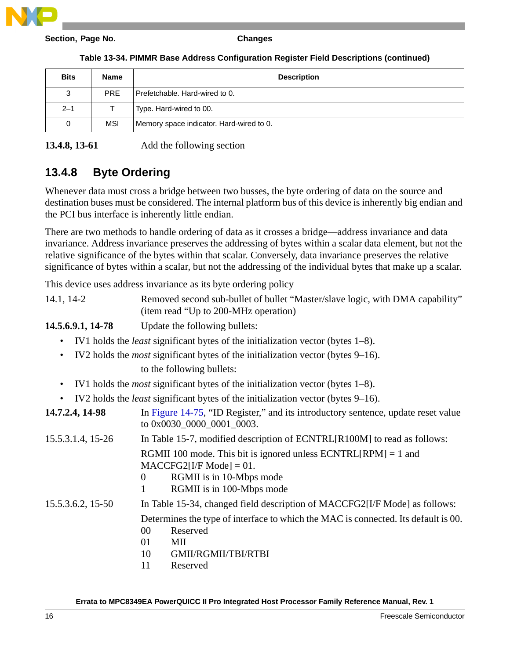| Table 13-34. PIMMR Base Address Configuration Register Field Descriptions (continued) |  |  |  |
|---------------------------------------------------------------------------------------|--|--|--|
|---------------------------------------------------------------------------------------|--|--|--|

| <b>Bits</b> | <b>Name</b> | <b>Description</b>                       |
|-------------|-------------|------------------------------------------|
| 3           | <b>PRE</b>  | Prefetchable, Hard-wired to 0.           |
| $2 - 1$     |             | Type. Hard-wired to 00.                  |
| 0           | MSI         | Memory space indicator. Hard-wired to 0. |

#### **13.4.8, 13-61** Add the following section

# **13.4.8 Byte Ordering**

Whenever data must cross a bridge between two busses, the byte ordering of data on the source and destination buses must be considered. The internal platform bus of this device is inherently big endian and the PCI bus interface is inherently little endian.

There are two methods to handle ordering of data as it crosses a bridge—address invariance and data invariance. Address invariance preserves the addressing of bytes within a scalar data element, but not the relative significance of the bytes within that scalar. Conversely, data invariance preserves the relative significance of bytes within a scalar, but not the addressing of the individual bytes that make up a scalar.

This device uses address invariance as its byte ordering policy

| $14.1, 14-2$ | Removed second sub-bullet of bullet "Master/slave logic, with DMA capability" |
|--------------|-------------------------------------------------------------------------------|
|              | (item read "Up to 200-MHz operation)                                          |

**14.5.6.9.1, 14-78** Update the following bullets:

- IV1 holds the *least* significant bytes of the initialization vector (bytes 1–8).
- IV2 holds the *most* significant bytes of the initialization vector (bytes 9–16).

to the following bullets:

- IV1 holds the *most* significant bytes of the initialization vector (bytes 1–8).
- IV2 holds the *least* significant bytes of the initialization vector (bytes 9–16).

| 14.7.2.4, 14-98   | In Figure 14-75, "ID Register," and its introductory sentence, update reset value<br>to 0x0030_0000_0001_0003.                                                                     |
|-------------------|------------------------------------------------------------------------------------------------------------------------------------------------------------------------------------|
| 15.5.3.1.4, 15-26 | In Table 15-7, modified description of ECNTRL[R100M] to read as follows:                                                                                                           |
|                   | RGMII 100 mode. This bit is ignored unless $ECNTRL[RPM] = 1$ and<br>$MACCFG2[I/F Model = 01.$<br>RGMII is in 10-Mbps mode<br>$\theta$<br>RGMII is in 100-Mbps mode                 |
| 15.5.3.6.2, 15-50 | In Table 15-34, changed field description of MACCFG2[I/F Mode] as follows:<br>Determines the type of interface to which the MAC is connected. Its default is 00.<br>00<br>Reserved |
|                   | 01<br>MII<br>10<br>GMII/RGMII/TBI/RTBI                                                                                                                                             |

11 Reserved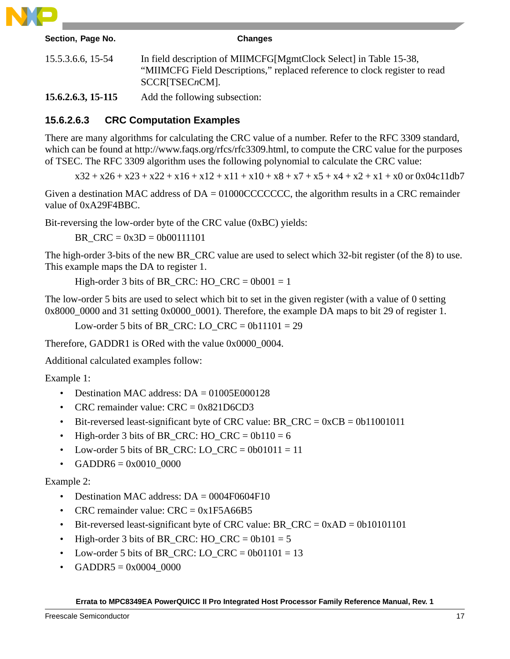

| Section, Page No.    | <b>Changes</b>                                                                                                                                                       |
|----------------------|----------------------------------------------------------------------------------------------------------------------------------------------------------------------|
| 15.5.3.6.6, 15-54    | In field description of MIIMCFG[MgmtClock Select] in Table 15-38,<br>"MIIMCFG Field Descriptions," replaced reference to clock register to read<br>$SCCR[TSECnCM]$ . |
| $15.6.2.6.3, 15-115$ | Add the following subsection:                                                                                                                                        |

# **15.6.2.6.3 CRC Computation Examples**

There are many algorithms for calculating the CRC value of a number. Refer to the RFC 3309 standard, which can be found at http://www.faqs.org/rfcs/rfc3309.html, to compute the CRC value for the purposes of TSEC. The RFC 3309 algorithm uses the following polynomial to calculate the CRC value:

 $x32 + x26 + x23 + x22 + x16 + x12 + x11 + x10 + x8 + x7 + x5 + x4 + x2 + x1 + x0$  or 0x04c11db7

Given a destination MAC address of DA = 01000CCCCCCC, the algorithm results in a CRC remainder value of 0xA29F4BBC.

Bit-reversing the low-order byte of the CRC value (0xBC) yields:

BR  $CRC = 0x3D = 0b00111101$ 

The high-order 3-bits of the new BR\_CRC value are used to select which 32-bit register (of the 8) to use. This example maps the DA to register 1.

High-order 3 bits of BR\_CRC: HO\_CRC =  $0b001 = 1$ 

The low-order 5 bits are used to select which bit to set in the given register (with a value of 0 setting 0x8000\_0000 and 31 setting 0x0000\_0001). Therefore, the example DA maps to bit 29 of register 1.

Low-order 5 bits of BR\_CRC:  $LO_CRC = 0b11101 = 29$ 

Therefore, GADDR1 is ORed with the value 0x0000\_0004.

Additional calculated examples follow:

Example 1:

- Destination MAC address: DA = 01005E000128
- CRC remainder value:  $CRC = 0x821D6CD3$
- Bit-reversed least-significant byte of CRC value:  $BR_CRC = 0xCB = 0b11001011$
- High-order 3 bits of BR\_CRC: HO\_CRC =  $0b110 = 6$
- Low-order 5 bits of BR\_CRC: LO\_CRC =  $0b01011 = 11$
- $GADDR6 = 0x0010_0000$

Example 2:

- Destination MAC address:  $DA = 0004F0604F10$
- CRC remainder value:  $CRC = 0x1F5A66B5$
- Bit-reversed least-significant byte of CRC value:  $BR_CRC = 0xAD = 0b10101101$
- High-order 3 bits of BR\_CRC: HO\_CRC =  $0b101 = 5$
- Low-order 5 bits of BR\_CRC:  $LO_CRC = 0b01101 = 13$
- $GADDR5 = 0x0004_00000$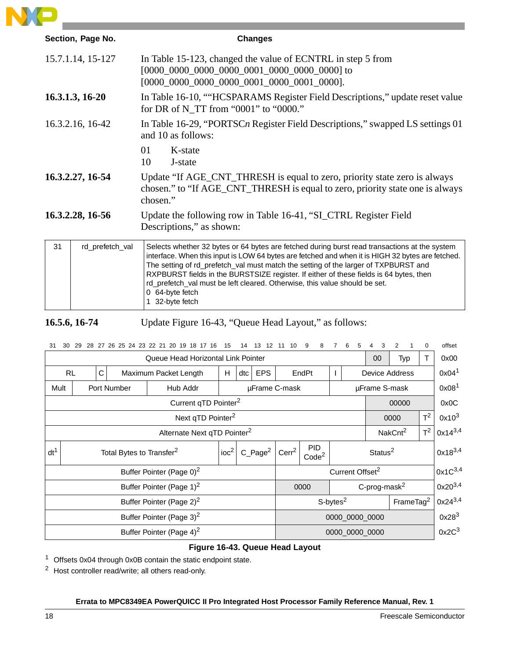

|                  | Section, Page No. | <b>Changes</b>                                                                                                                                                                                                                                                                                                                                                                                                                                                                                         |  |  |  |  |  |  |  |
|------------------|-------------------|--------------------------------------------------------------------------------------------------------------------------------------------------------------------------------------------------------------------------------------------------------------------------------------------------------------------------------------------------------------------------------------------------------------------------------------------------------------------------------------------------------|--|--|--|--|--|--|--|
|                  | 15.7.1.14, 15-127 | In Table 15-123, changed the value of ECNTRL in step 5 from<br>$[0000 \_0000 \_0000 \_0000 \_0001 \_0000 \_0001 \_00001 \_0000].$                                                                                                                                                                                                                                                                                                                                                                      |  |  |  |  |  |  |  |
|                  | 16.3.1.3, 16-20   | In Table 16-10, ""HCSPARAMS Register Field Descriptions," update reset value<br>for DR of N_TT from "0001" to "0000."                                                                                                                                                                                                                                                                                                                                                                                  |  |  |  |  |  |  |  |
| 16.3.2.16, 16-42 |                   | In Table 16-29, "PORTSC <sub>n</sub> Register Field Descriptions," swapped LS settings 01<br>and 10 as follows:                                                                                                                                                                                                                                                                                                                                                                                        |  |  |  |  |  |  |  |
|                  |                   | 01<br>K-state<br>10<br>J-state                                                                                                                                                                                                                                                                                                                                                                                                                                                                         |  |  |  |  |  |  |  |
| 16.3.2.27, 16-54 |                   | Update "If AGE_CNT_THRESH is equal to zero, priority state zero is always<br>chosen." to "If AGE_CNT_THRESH is equal to zero, priority state one is always<br>chosen."                                                                                                                                                                                                                                                                                                                                 |  |  |  |  |  |  |  |
| 16.3.2.28, 16-56 |                   | Update the following row in Table 16-41, "SI_CTRL Register Field<br>Descriptions," as shown:                                                                                                                                                                                                                                                                                                                                                                                                           |  |  |  |  |  |  |  |
| 31               | rd_prefetch_val   | Selects whether 32 bytes or 64 bytes are fetched during burst read transactions at the system<br>interface. When this input is LOW 64 bytes are fetched and when it is HIGH 32 bytes are fetched.<br>The setting of rd_prefetch_val must match the setting of the larger of TXPBURST and<br>RXPBURST fields in the BURSTSIZE register. If either of these fields is 64 bytes, then<br>rd_prefetch_val must be left cleared. Otherwise, this value should be set.<br>0 64-byte fetch<br>1 32-byte fetch |  |  |  |  |  |  |  |

**16.5.6, 16-74** Update Figure 16-43, "Queue Head Layout," as follows:

| 31<br>30                                | 29                                                               |  |  | 28 27 26 25 24 23 22 21 20 19 18 17 16  |   | 15  | 14            | 13<br>12                                         |                   | 10                              | 9<br>8 |  |                     | 6 |                       |                          | 2                   |              | 0                 | offset       |
|-----------------------------------------|------------------------------------------------------------------|--|--|-----------------------------------------|---|-----|---------------|--------------------------------------------------|-------------------|---------------------------------|--------|--|---------------------|---|-----------------------|--------------------------|---------------------|--------------|-------------------|--------------|
|                                         | Queue Head Horizontal Link Pointer                               |  |  |                                         |   |     |               |                                                  | $00\,$<br>Typ     |                                 |        |  |                     |   |                       | T                        | 0x00                |              |                   |              |
| <b>RL</b><br>С<br>Maximum Packet Length |                                                                  |  |  |                                         | H | dtc | <b>EPS</b>    |                                                  | EndPt             |                                 |        |  |                     |   | <b>Device Address</b> | 0x04 <sup>1</sup>        |                     |              |                   |              |
| Port Number<br>Hub Addr<br>Mult         |                                                                  |  |  |                                         |   |     | µFrame C-mask |                                                  |                   |                                 |        |  |                     |   | µFrame S-mask         |                          |                     |              | 0x08 <sup>1</sup> |              |
|                                         | Current qTD Pointer <sup>2</sup>                                 |  |  |                                         |   |     |               |                                                  |                   |                                 |        |  |                     |   |                       |                          | 00000               |              | 0x0C              |              |
|                                         |                                                                  |  |  | Next qTD Pointer <sup>2</sup>           |   |     |               |                                                  |                   |                                 |        |  |                     |   |                       |                          | 0000                |              | $T^2$             | $0x10^3$     |
|                                         |                                                                  |  |  | Alternate Next qTD Pointer <sup>2</sup> |   |     |               |                                                  |                   | NakCnt <sup>2</sup>             |        |  |                     |   |                       | $T^2$                    | $0x14^{3,4}$        |              |                   |              |
| $dt^1$                                  | $C_Page^2$<br>$i$ o $c2$<br>Total Bytes to Transfer <sup>2</sup> |  |  |                                         |   |     |               |                                                  | Cerr <sup>2</sup> | <b>PID</b><br>Code <sup>2</sup> |        |  | Status <sup>2</sup> |   |                       |                          |                     | $0x18^{3,4}$ |                   |              |
|                                         |                                                                  |  |  | Buffer Pointer (Page 0) <sup>2</sup>    |   |     |               |                                                  |                   | Current Offset <sup>2</sup>     |        |  |                     |   |                       |                          | 0x1C <sup>3,4</sup> |              |                   |              |
|                                         |                                                                  |  |  | Buffer Pointer (Page 1) <sup>2</sup>    |   |     |               |                                                  |                   |                                 | 0000   |  |                     |   |                       | C-prog-mask <sup>2</sup> |                     |              |                   | $0x20^{3,4}$ |
| Buffer Pointer (Page 2) <sup>2</sup>    |                                                                  |  |  |                                         |   |     |               | FrameTag <sup>2</sup><br>$S$ -bytes <sup>2</sup> |                   |                                 |        |  |                     |   | $0x24^{3,4}$          |                          |                     |              |                   |              |
| Buffer Pointer (Page 3) <sup>2</sup>    |                                                                  |  |  |                                         |   |     |               | 0000_0000_0000                                   |                   |                                 |        |  |                     |   | $0x28^3$              |                          |                     |              |                   |              |
|                                         | Buffer Pointer (Page 4) <sup>2</sup>                             |  |  |                                         |   |     |               |                                                  |                   | 0000 0000 0000                  |        |  |                     |   |                       | $0x2C^3$                 |                     |              |                   |              |

#### **Figure 16-43. Queue Head Layout**

<sup>1</sup> Offsets 0x04 through 0x0B contain the static endpoint state.

<sup>2</sup> Host controller read/write; all others read-only.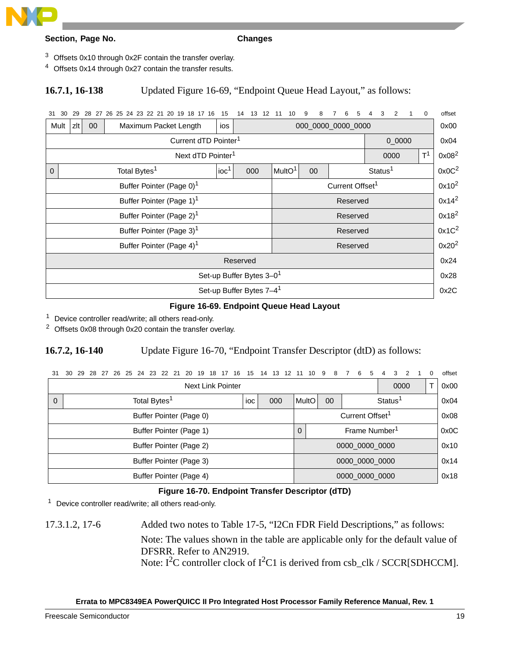

- <sup>3</sup> Offsets 0x10 through 0x2F contain the transfer overlay.
- <sup>4</sup> Offsets 0x14 through 0x27 contain the transfer results.

#### **16.7.1, 16-138** Updated Figure 16-69, "Endpoint Queue Head Layout," as follows:

31 30 29 28 27 26 25 24 23 22 21 20 19 18 17 16 15 14 13 12 11 10 9 8 7 6 5 4 3 2 1 0 offset

| Mult     | zlt                                  | $00\,$ | Maximum Packet Length                | ios                |                                      |      |                     | 000 0000 0000 0000 |  | 0x00 |      |  |  |
|----------|--------------------------------------|--------|--------------------------------------|--------------------|--------------------------------------|------|---------------------|--------------------|--|------|------|--|--|
|          |                                      |        | Current dTD Pointer <sup>1</sup>     |                    | $0 - 0000$                           |      |                     |                    |  |      |      |  |  |
|          |                                      |        | Next dTD Pointer <sup>1</sup>        |                    |                                      | 0000 | T <sup>1</sup>      | 0x08 <sup>2</sup>  |  |      |      |  |  |
| $\Omega$ |                                      |        | Total Bytes <sup>1</sup>             | MultO <sup>1</sup> | 00                                   |      | Status <sup>1</sup> |                    |  |      |      |  |  |
|          |                                      |        | Buffer Pointer (Page 0) <sup>1</sup> |                    | Current Offset <sup>1</sup>          |      |                     |                    |  |      |      |  |  |
|          |                                      |        | Buffer Pointer (Page 1) <sup>1</sup> |                    | Reserved                             |      |                     |                    |  |      |      |  |  |
|          |                                      |        | Buffer Pointer (Page 2) <sup>1</sup> |                    | Reserved                             |      |                     |                    |  |      |      |  |  |
|          |                                      |        | Buffer Pointer (Page 3) <sup>1</sup> |                    | Reserved                             |      |                     |                    |  |      |      |  |  |
|          |                                      |        | Buffer Pointer (Page 4) <sup>1</sup> | Reserved           |                                      |      |                     |                    |  |      |      |  |  |
|          | Reserved                             |        |                                      |                    |                                      |      |                     |                    |  |      |      |  |  |
|          | Set-up Buffer Bytes 3-0 <sup>1</sup> |        |                                      |                    |                                      |      |                     |                    |  |      |      |  |  |
|          |                                      |        |                                      |                    | Set-up Buffer Bytes 7-4 <sup>1</sup> |      |                     |                    |  |      | 0x2C |  |  |

#### **Figure 16-69. Endpoint Queue Head Layout**

<sup>1</sup> Device controller read/write; all others read-only.

<sup>2</sup> Offsets 0x08 through 0x20 contain the transfer overlay.

#### **16.7.2, 16-140** Update Figure 16-70, "Endpoint Transfer Descriptor (dtD) as follows:

| 31                      | 30                                     | 29 |  |  |  |  |  |  |  |  | 28 27 26 25 24 23 22 21 20 19 18 17 16 |                             |                |  |                 |  |                           |  | 15 14 13 12 11 10 9 |      |  |                     |      |      |      | 8 7  | 6 | 5 |  | $\overline{4}$ | 3 |  |  |  | offset |
|-------------------------|----------------------------------------|----|--|--|--|--|--|--|--|--|----------------------------------------|-----------------------------|----------------|--|-----------------|--|---------------------------|--|---------------------|------|--|---------------------|------|------|------|------|---|---|--|----------------|---|--|--|--|--------|
|                         | Next Link Pointer                      |    |  |  |  |  |  |  |  |  |                                        |                             |                |  |                 |  |                           |  |                     |      |  |                     | 0000 |      |      | 0x00 |   |   |  |                |   |  |  |  |        |
| $\Omega$                | Total Bytes <sup>1</sup><br>ioc<br>000 |    |  |  |  |  |  |  |  |  |                                        |                             | <b>I</b> MultO |  | 00 <sup>°</sup> |  |                           |  |                     |      |  | Status <sup>1</sup> |      |      | 0x04 |      |   |   |  |                |   |  |  |  |        |
|                         | Buffer Pointer (Page 0)                |    |  |  |  |  |  |  |  |  |                                        | Current Offset <sup>1</sup> |                |  |                 |  |                           |  |                     |      |  | 0x08                |      |      |      |      |   |   |  |                |   |  |  |  |        |
| Buffer Pointer (Page 1) |                                        |    |  |  |  |  |  |  |  |  | $\Omega$                               |                             |                |  |                 |  | Frame Number <sup>1</sup> |  |                     |      |  |                     |      |      | 0x0C |      |   |   |  |                |   |  |  |  |        |
| Buffer Pointer (Page 2) |                                        |    |  |  |  |  |  |  |  |  |                                        | 0000 0000 0000              |                |  |                 |  |                           |  |                     | 0x10 |  |                     |      |      |      |      |   |   |  |                |   |  |  |  |        |
|                         | Buffer Pointer (Page 3)                |    |  |  |  |  |  |  |  |  |                                        |                             |                |  |                 |  | 0000 0000 0000            |  |                     |      |  |                     |      |      |      | 0x14 |   |   |  |                |   |  |  |  |        |
| Buffer Pointer (Page 4) |                                        |    |  |  |  |  |  |  |  |  |                                        |                             |                |  | 0000 0000 0000  |  |                           |  |                     |      |  |                     |      | 0x18 |      |      |   |   |  |                |   |  |  |  |        |

#### **Figure 16-70. Endpoint Transfer Descriptor (dTD)**

<sup>1</sup> Device controller read/write; all others read-only.

17.3.1.2, 17-6 Added two notes to Table 17-5, "I2Cn FDR Field Descriptions," as follows: Note: The values shown in the table are applicable only for the default value of DFSRR. Refer to AN2919. Note:  $I^2C$  controller clock of  $I^2C1$  is derived from csb\_clk / SCCR[SDHCCM].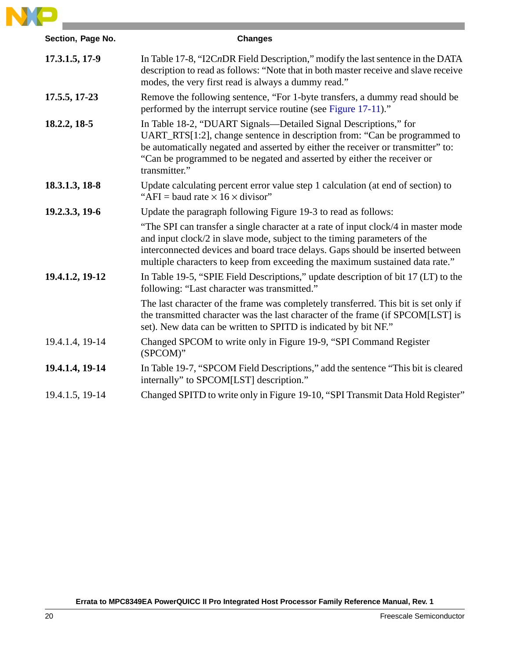

| Section, Page No. | <b>Changes</b>                                                                                                                                                                                                                                                                                                                   |
|-------------------|----------------------------------------------------------------------------------------------------------------------------------------------------------------------------------------------------------------------------------------------------------------------------------------------------------------------------------|
| 17.3.1.5, 17-9    | In Table 17-8, "I2CnDR Field Description," modify the last sentence in the DATA<br>description to read as follows: "Note that in both master receive and slave receive<br>modes, the very first read is always a dummy read."                                                                                                    |
| 17.5.5, 17-23     | Remove the following sentence, "For 1-byte transfers, a dummy read should be<br>performed by the interrupt service routine (see Figure 17-11)."                                                                                                                                                                                  |
| 18.2.2, 18.5      | In Table 18-2, "DUART Signals—Detailed Signal Descriptions," for<br>UART_RTS[1:2], change sentence in description from: "Can be programmed to<br>be automatically negated and asserted by either the receiver or transmitter" to:<br>"Can be programmed to be negated and asserted by either the receiver or<br>transmitter."    |
| 18.3.1.3, 18-8    | Update calculating percent error value step 1 calculation (at end of section) to<br>"AFI = baud rate $\times$ 16 $\times$ divisor"                                                                                                                                                                                               |
| 19.2.3.3, 19-6    | Update the paragraph following Figure 19-3 to read as follows:                                                                                                                                                                                                                                                                   |
|                   | "The SPI can transfer a single character at a rate of input clock/4 in master mode<br>and input clock/2 in slave mode, subject to the timing parameters of the<br>interconnected devices and board trace delays. Gaps should be inserted between<br>multiple characters to keep from exceeding the maximum sustained data rate." |
| 19.4.1.2, 19-12   | In Table 19-5, "SPIE Field Descriptions," update description of bit 17 (LT) to the<br>following: "Last character was transmitted."                                                                                                                                                                                               |
|                   | The last character of the frame was completely transferred. This bit is set only if<br>the transmitted character was the last character of the frame (if SPCOM[LST] is<br>set). New data can be written to SPITD is indicated by bit NF."                                                                                        |
| 19.4.1.4, 19-14   | Changed SPCOM to write only in Figure 19-9, "SPI Command Register<br>(SPCOM)"                                                                                                                                                                                                                                                    |
| 19.4.1.4, 19-14   | In Table 19-7, "SPCOM Field Descriptions," add the sentence "This bit is cleared<br>internally" to SPCOM[LST] description."                                                                                                                                                                                                      |
| 19.4.1.5, 19-14   | Changed SPITD to write only in Figure 19-10, "SPI Transmit Data Hold Register"                                                                                                                                                                                                                                                   |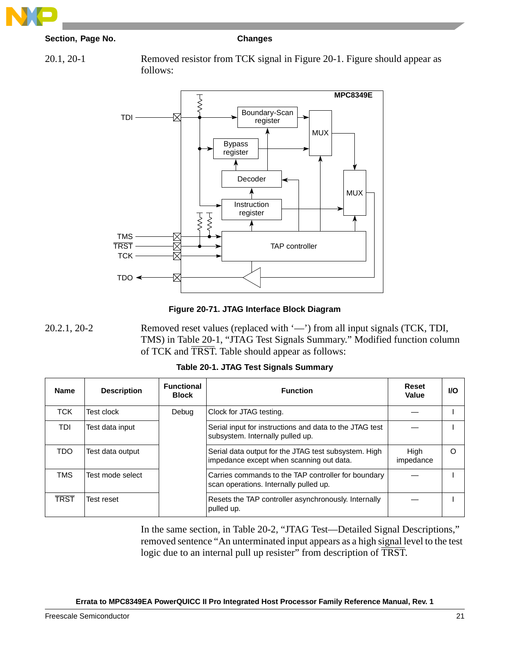

20.1, 20-1 Removed resistor from TCK signal in Figure 20-1. Figure should appear as follows:



**Figure 20-71. JTAG Interface Block Diagram**

20.2.1, 20-2 Removed reset values (replaced with '—') from all input signals (TCK, TDI, TMS) in Table 20-1, "JTAG Test Signals Summary." Modified function column of TCK and TRST. Table should appear as follows:

| Table 20-1. JTAG Test Signals Summary |  |
|---------------------------------------|--|
|                                       |  |

| <b>Name</b> | <b>Description</b> | <b>Functional</b><br><b>Block</b> | <b>Function</b>                                                                                  | Reset<br>Value    | <b>VO</b> |
|-------------|--------------------|-----------------------------------|--------------------------------------------------------------------------------------------------|-------------------|-----------|
| <b>TCK</b>  | Test clock         | Debug                             | Clock for JTAG testing.                                                                          |                   |           |
| TDI         | Test data input    |                                   | Serial input for instructions and data to the JTAG test<br>subsystem. Internally pulled up.      |                   |           |
| TDO.        | Test data output   |                                   | Serial data output for the JTAG test subsystem. High<br>impedance except when scanning out data. | High<br>impedance | $\Omega$  |
| <b>TMS</b>  | Test mode select   |                                   | Carries commands to the TAP controller for boundary<br>scan operations. Internally pulled up.    |                   |           |
| TRST        | Test reset         |                                   | Resets the TAP controller asynchronously. Internally<br>pulled up.                               |                   |           |

In the same section, in Table 20-2, "JTAG Test—Detailed Signal Descriptions," removed sentence "An unterminated input appears as a high signal level to the test logic due to an internal pull up resister" from description of TRST.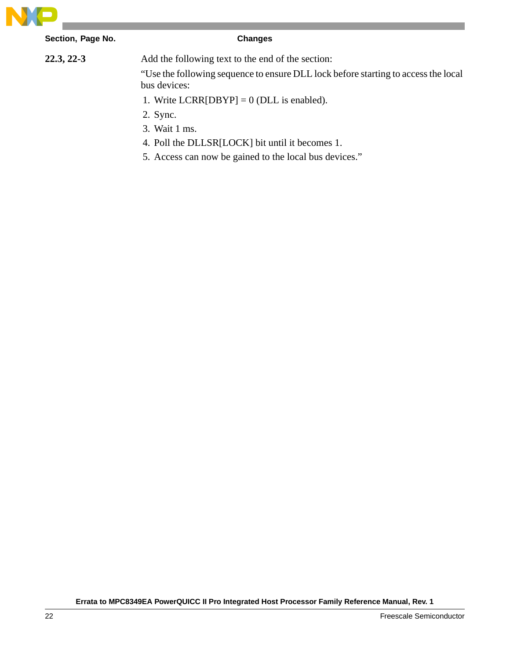

**22.3, 22-3** Add the following text to the end of the section:

"Use the following sequence to ensure DLL lock before starting to access the local bus devices:

- 1. Write  $LCRR[DBYP] = 0$  (DLL is enabled).
- 2. Sync.
- 3. Wait 1 ms.
- 4. Poll the DLLSR[LOCK] bit until it becomes 1.
- 5. Access can now be gained to the local bus devices."